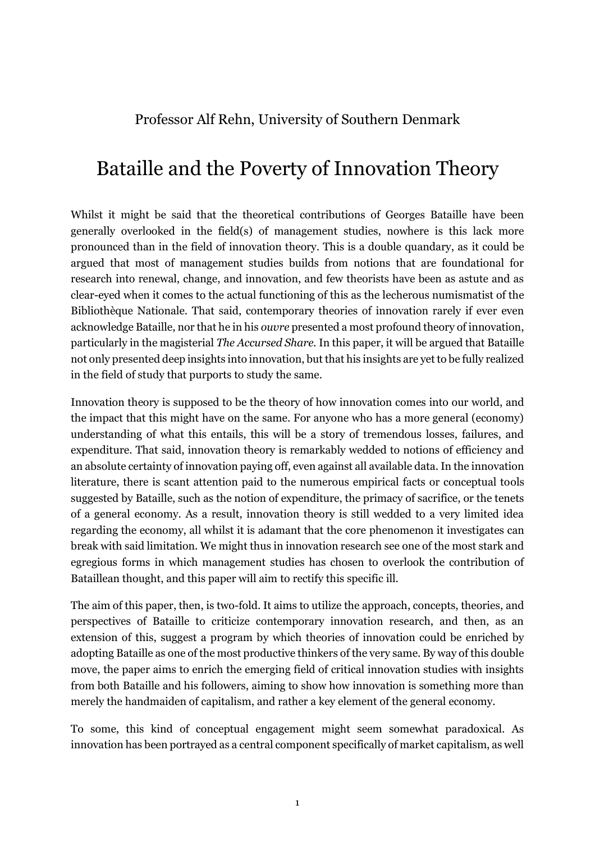Professor Alf Rehn, University of Southern Denmark

## Bataille and the Poverty of Innovation Theory

Whilst it might be said that the theoretical contributions of Georges Bataille have been generally overlooked in the field(s) of management studies, nowhere is this lack more pronounced than in the field of innovation theory. This is a double quandary, as it could be argued that most of management studies builds from notions that are foundational for research into renewal, change, and innovation, and few theorists have been as astute and as clear-eyed when it comes to the actual functioning of this as the lecherous numismatist of the Bibliothèque Nationale. That said, contemporary theories of innovation rarely if ever even acknowledge Bataille, nor that he in his *ouvre* presented a most profound theory of innovation, particularly in the magisterial *The Accursed Share.* In this paper, it will be argued that Bataille not only presented deep insights into innovation, but that his insights are yet to be fully realized in the field of study that purports to study the same.

Innovation theory is supposed to be the theory of how innovation comes into our world, and the impact that this might have on the same. For anyone who has a more general (economy) understanding of what this entails, this will be a story of tremendous losses, failures, and expenditure. That said, innovation theory is remarkably wedded to notions of efficiency and an absolute certainty of innovation paying off, even against all available data. In the innovation literature, there is scant attention paid to the numerous empirical facts or conceptual tools suggested by Bataille, such as the notion of expenditure, the primacy of sacrifice, or the tenets of a general economy. As a result, innovation theory is still wedded to a very limited idea regarding the economy, all whilst it is adamant that the core phenomenon it investigates can break with said limitation. We might thus in innovation research see one of the most stark and egregious forms in which management studies has chosen to overlook the contribution of Bataillean thought, and this paper will aim to rectify this specific ill.

The aim of this paper, then, is two-fold. It aims to utilize the approach, concepts, theories, and perspectives of Bataille to criticize contemporary innovation research, and then, as an extension of this, suggest a program by which theories of innovation could be enriched by adopting Bataille as one of the most productive thinkers of the very same. By way of this double move, the paper aims to enrich the emerging field of critical innovation studies with insights from both Bataille and his followers, aiming to show how innovation is something more than merely the handmaiden of capitalism, and rather a key element of the general economy.

To some, this kind of conceptual engagement might seem somewhat paradoxical. As innovation has been portrayed as a central component specifically of market capitalism, as well